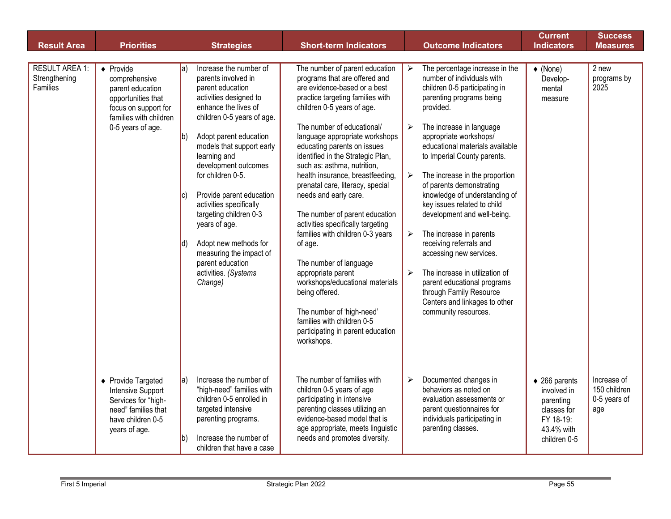| <b>Result Area</b>                                 | <b>Priorities</b>                                                                                                                                         | <b>Strategies</b>                                                                                                                                                                                                                                                                                                                                                                                                                                                                                                              | <b>Short-term Indicators</b>                                                                                                                                                                                                                                                                                                                                                                                                                                                                                                                                                                                                                                                                                                                                                   | <b>Outcome Indicators</b>                                                                                                                                                                                                                                                                                                                                                                                                                                                                                                                                                                                                                                                                                      | <b>Current</b><br><b>Indicators</b>                                                                           | <b>Success</b><br><b>Measures</b>                  |
|----------------------------------------------------|-----------------------------------------------------------------------------------------------------------------------------------------------------------|--------------------------------------------------------------------------------------------------------------------------------------------------------------------------------------------------------------------------------------------------------------------------------------------------------------------------------------------------------------------------------------------------------------------------------------------------------------------------------------------------------------------------------|--------------------------------------------------------------------------------------------------------------------------------------------------------------------------------------------------------------------------------------------------------------------------------------------------------------------------------------------------------------------------------------------------------------------------------------------------------------------------------------------------------------------------------------------------------------------------------------------------------------------------------------------------------------------------------------------------------------------------------------------------------------------------------|----------------------------------------------------------------------------------------------------------------------------------------------------------------------------------------------------------------------------------------------------------------------------------------------------------------------------------------------------------------------------------------------------------------------------------------------------------------------------------------------------------------------------------------------------------------------------------------------------------------------------------------------------------------------------------------------------------------|---------------------------------------------------------------------------------------------------------------|----------------------------------------------------|
|                                                    |                                                                                                                                                           |                                                                                                                                                                                                                                                                                                                                                                                                                                                                                                                                |                                                                                                                                                                                                                                                                                                                                                                                                                                                                                                                                                                                                                                                                                                                                                                                |                                                                                                                                                                                                                                                                                                                                                                                                                                                                                                                                                                                                                                                                                                                |                                                                                                               |                                                    |
| <b>RESULT AREA 1:</b><br>Strengthening<br>Families | $\blacklozenge$ Provide<br>comprehensive<br>parent education<br>opportunities that<br>focus on support for<br>families with children<br>0-5 years of age. | Increase the number of<br>$ a\rangle$<br>parents involved in<br>parent education<br>activities designed to<br>enhance the lives of<br>children 0-5 years of age.<br>Adopt parent education<br>$ b\rangle$<br>models that support early<br>learning and<br>development outcomes<br>for children 0-5.<br>Provide parent education<br>IC)<br>activities specifically<br>targeting children 0-3<br>years of age.<br>Adopt new methods for<br>Id)<br>measuring the impact of<br>parent education<br>activities. (Systems<br>Change) | The number of parent education<br>programs that are offered and<br>are evidence-based or a best<br>practice targeting families with<br>children 0-5 years of age.<br>The number of educational/<br>language appropriate workshops<br>educating parents on issues<br>identified in the Strategic Plan,<br>such as: asthma, nutrition,<br>health insurance, breastfeeding,<br>prenatal care, literacy, special<br>needs and early care.<br>The number of parent education<br>activities specifically targeting<br>families with children 0-3 years<br>of age.<br>The number of language<br>appropriate parent<br>workshops/educational materials<br>being offered.<br>The number of 'high-need'<br>families with children 0-5<br>participating in parent education<br>workshops. | The percentage increase in the<br>➤<br>number of individuals with<br>children 0-5 participating in<br>parenting programs being<br>provided.<br>The increase in language<br>≻<br>appropriate workshops/<br>educational materials available<br>to Imperial County parents.<br>The increase in the proportion<br>➤<br>of parents demonstrating<br>knowledge of understanding of<br>key issues related to child<br>development and well-being.<br>The increase in parents<br>≻<br>receiving referrals and<br>accessing new services.<br>The increase in utilization of<br>$\blacktriangleright$<br>parent educational programs<br>through Family Resource<br>Centers and linkages to other<br>community resources. | $\blacklozenge$ (None)<br>Develop-<br>mental<br>measure                                                       | 2 new<br>programs by<br>2025                       |
|                                                    | ◆ Provide Targeted<br>Intensive Support<br>Services for "high-<br>need" families that<br>have children 0-5<br>years of age.                               | Increase the number of<br>$ a\rangle$<br>"high-need" families with<br>children 0-5 enrolled in<br>targeted intensive<br>parenting programs.<br>Increase the number of<br>lb)<br>children that have a case                                                                                                                                                                                                                                                                                                                      | The number of families with<br>children 0-5 years of age<br>participating in intensive<br>parenting classes utilizing an<br>evidence-based model that is<br>age appropriate, meets linguistic<br>needs and promotes diversity.                                                                                                                                                                                                                                                                                                                                                                                                                                                                                                                                                 | Documented changes in<br>➤<br>behaviors as noted on<br>evaluation assessments or<br>parent questionnaires for<br>individuals participating in<br>parenting classes.                                                                                                                                                                                                                                                                                                                                                                                                                                                                                                                                            | $\triangle$ 266 parents<br>involved in<br>parenting<br>classes for<br>FY 18-19:<br>43.4% with<br>children 0-5 | Increase of<br>150 children<br>0-5 years of<br>age |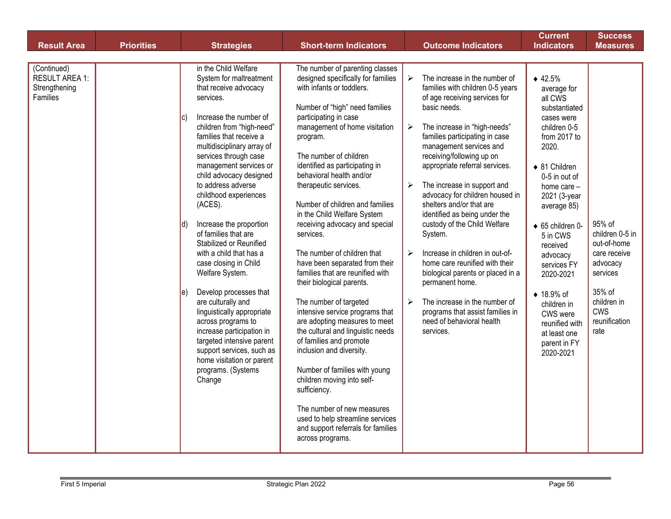| <b>Result Area</b>                                                | <b>Priorities</b> | <b>Strategies</b>                                                                                                                                                                                                                                                                                                                                                                                                                                                                                                                                                                                                                                                                                                                                                                                   | <b>Short-term Indicators</b>                                                                                                                                                                                                                                                                                                                                                                                                                                                                                                                                                                                                                                                                                                                                                                                                                                                                                                                                                        | <b>Outcome Indicators</b>                                                                                                                                                                                                                                                                                                                                                                                                                                                                                                                                                                                                                                                                                                                                                                 | <b>Current</b><br><b>Indicators</b>                                                                                                                                                                                                                                                                                                                                                       | <b>Success</b><br><b>Measures</b>                                                                                                                |
|-------------------------------------------------------------------|-------------------|-----------------------------------------------------------------------------------------------------------------------------------------------------------------------------------------------------------------------------------------------------------------------------------------------------------------------------------------------------------------------------------------------------------------------------------------------------------------------------------------------------------------------------------------------------------------------------------------------------------------------------------------------------------------------------------------------------------------------------------------------------------------------------------------------------|-------------------------------------------------------------------------------------------------------------------------------------------------------------------------------------------------------------------------------------------------------------------------------------------------------------------------------------------------------------------------------------------------------------------------------------------------------------------------------------------------------------------------------------------------------------------------------------------------------------------------------------------------------------------------------------------------------------------------------------------------------------------------------------------------------------------------------------------------------------------------------------------------------------------------------------------------------------------------------------|-------------------------------------------------------------------------------------------------------------------------------------------------------------------------------------------------------------------------------------------------------------------------------------------------------------------------------------------------------------------------------------------------------------------------------------------------------------------------------------------------------------------------------------------------------------------------------------------------------------------------------------------------------------------------------------------------------------------------------------------------------------------------------------------|-------------------------------------------------------------------------------------------------------------------------------------------------------------------------------------------------------------------------------------------------------------------------------------------------------------------------------------------------------------------------------------------|--------------------------------------------------------------------------------------------------------------------------------------------------|
|                                                                   |                   |                                                                                                                                                                                                                                                                                                                                                                                                                                                                                                                                                                                                                                                                                                                                                                                                     |                                                                                                                                                                                                                                                                                                                                                                                                                                                                                                                                                                                                                                                                                                                                                                                                                                                                                                                                                                                     |                                                                                                                                                                                                                                                                                                                                                                                                                                                                                                                                                                                                                                                                                                                                                                                           |                                                                                                                                                                                                                                                                                                                                                                                           |                                                                                                                                                  |
| (Continued)<br><b>RESULT AREA 1:</b><br>Strengthening<br>Families |                   | in the Child Welfare<br>System for maltreatment<br>that receive advocacy<br>services.<br>Increase the number of<br>$ {\bf c} $<br>children from "high-need"<br>families that receive a<br>multidisciplinary array of<br>services through case<br>management services or<br>child advocacy designed<br>to address adverse<br>childhood experiences<br>(ACES).<br>Increase the proportion<br>Id)<br>of families that are<br>Stabilized or Reunified<br>with a child that has a<br>case closing in Child<br>Welfare System.<br>Develop processes that<br>$\vert e \vert$<br>are culturally and<br>linguistically appropriate<br>across programs to<br>increase participation in<br>targeted intensive parent<br>support services, such as<br>home visitation or parent<br>programs. (Systems<br>Change | The number of parenting classes<br>designed specifically for families<br>with infants or toddlers.<br>Number of "high" need families<br>participating in case<br>management of home visitation<br>program.<br>The number of children<br>identified as participating in<br>behavioral health and/or<br>therapeutic services.<br>Number of children and families<br>in the Child Welfare System<br>receiving advocacy and special<br>services.<br>The number of children that<br>have been separated from their<br>families that are reunified with<br>their biological parents.<br>The number of targeted<br>intensive service programs that<br>are adopting measures to meet<br>the cultural and linguistic needs<br>of families and promote<br>inclusion and diversity.<br>Number of families with young<br>children moving into self-<br>sufficiency.<br>The number of new measures<br>used to help streamline services<br>and support referrals for families<br>across programs. | The increase in the number of<br>$\blacktriangleright$<br>families with children 0-5 years<br>of age receiving services for<br>basic needs.<br>The increase in "high-needs"<br>➤<br>families participating in case<br>management services and<br>receiving/following up on<br>appropriate referral services.<br>The increase in support and<br>➤<br>advocacy for children housed in<br>shelters and/or that are<br>identified as being under the<br>custody of the Child Welfare<br>System.<br>Increase in children in out-of-<br>$\blacktriangleright$<br>home care reunified with their<br>biological parents or placed in a<br>permanent home.<br>The increase in the number of<br>$\blacktriangleright$<br>programs that assist families in<br>need of behavioral health<br>services. | $* 42.5%$<br>average for<br>all CWS<br>substantiated<br>cases were<br>children 0-5<br>from 2017 to<br>2020.<br>◆ 81 Children<br>0-5 in out of<br>home care $-$<br>2021 (3-year<br>average 85)<br>◆ 65 children 0-<br>5 in CWS<br>received<br>advocacy<br>services FY<br>2020-2021<br>◆ 18.9% of<br>children in<br>CWS were<br>reunified with<br>at least one<br>parent in FY<br>2020-2021 | 95% of<br>children 0-5 in<br>out-of-home<br>care receive<br>advocacy<br>services<br>35% of<br>children in<br><b>CWS</b><br>reunification<br>rate |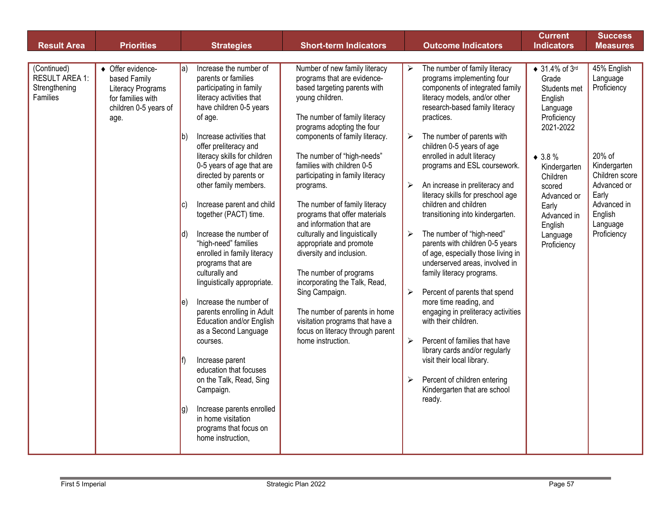| <b>Result Area</b>                                                | <b>Priorities</b>                                                                                            | <b>Strategies</b>                                                                                                                                                                                                                                                                                                                                                                                                                                                                                                                                                                                                                                                                                                                                                                                                                                                                             | <b>Short-term Indicators</b>                                                                                                                                                                                                                                                                                                                                                                                                                                                                                                                                                                                                                                                                                                  | <b>Outcome Indicators</b>                                                                                                                                                                                                                                                                                                                                                                                                                                                                                                                                                                                                                                                                                                                                                                                                                                                                                                                                                                                            | <b>Current</b><br><b>Indicators</b>                                                                                                                                                                                                   | <b>Success</b><br><b>Measures</b>                                                                                                                               |
|-------------------------------------------------------------------|--------------------------------------------------------------------------------------------------------------|-----------------------------------------------------------------------------------------------------------------------------------------------------------------------------------------------------------------------------------------------------------------------------------------------------------------------------------------------------------------------------------------------------------------------------------------------------------------------------------------------------------------------------------------------------------------------------------------------------------------------------------------------------------------------------------------------------------------------------------------------------------------------------------------------------------------------------------------------------------------------------------------------|-------------------------------------------------------------------------------------------------------------------------------------------------------------------------------------------------------------------------------------------------------------------------------------------------------------------------------------------------------------------------------------------------------------------------------------------------------------------------------------------------------------------------------------------------------------------------------------------------------------------------------------------------------------------------------------------------------------------------------|----------------------------------------------------------------------------------------------------------------------------------------------------------------------------------------------------------------------------------------------------------------------------------------------------------------------------------------------------------------------------------------------------------------------------------------------------------------------------------------------------------------------------------------------------------------------------------------------------------------------------------------------------------------------------------------------------------------------------------------------------------------------------------------------------------------------------------------------------------------------------------------------------------------------------------------------------------------------------------------------------------------------|---------------------------------------------------------------------------------------------------------------------------------------------------------------------------------------------------------------------------------------|-----------------------------------------------------------------------------------------------------------------------------------------------------------------|
|                                                                   |                                                                                                              |                                                                                                                                                                                                                                                                                                                                                                                                                                                                                                                                                                                                                                                                                                                                                                                                                                                                                               |                                                                                                                                                                                                                                                                                                                                                                                                                                                                                                                                                                                                                                                                                                                               |                                                                                                                                                                                                                                                                                                                                                                                                                                                                                                                                                                                                                                                                                                                                                                                                                                                                                                                                                                                                                      |                                                                                                                                                                                                                                       |                                                                                                                                                                 |
| (Continued)<br><b>RESULT AREA 1:</b><br>Strengthening<br>Families | ♦ Offer evidence-<br>based Family<br>Literacy Programs<br>for families with<br>children 0-5 years of<br>age. | Increase the number of<br>$ a\rangle$<br>parents or families<br>participating in family<br>literacy activities that<br>have children 0-5 years<br>of age.<br>Increase activities that<br>lb)<br>offer preliteracy and<br>literacy skills for children<br>0-5 years of age that are<br>directed by parents or<br>other family members.<br>Increase parent and child<br>IC)<br>together (PACT) time.<br>Increase the number of<br>Id)<br>"high-need" families<br>enrolled in family literacy<br>programs that are<br>culturally and<br>linguistically appropriate.<br>Increase the number of<br>le)<br>parents enrolling in Adult<br>Education and/or English<br>as a Second Language<br>courses.<br>Increase parent<br>education that focuses<br>on the Talk, Read, Sing<br>Campaign.<br>Increase parents enrolled<br>Ig)<br>in home visitation<br>programs that focus on<br>home instruction, | Number of new family literacy<br>programs that are evidence-<br>based targeting parents with<br>young children.<br>The number of family literacy<br>programs adopting the four<br>components of family literacy.<br>The number of "high-needs"<br>families with children 0-5<br>participating in family literacy<br>programs.<br>The number of family literacy<br>programs that offer materials<br>and information that are<br>culturally and linguistically<br>appropriate and promote<br>diversity and inclusion.<br>The number of programs<br>incorporating the Talk, Read,<br>Sing Campaign.<br>The number of parents in home<br>visitation programs that have a<br>focus on literacy through parent<br>home instruction. | The number of family literacy<br>➤<br>programs implementing four<br>components of integrated family<br>literacy models, and/or other<br>research-based family literacy<br>practices.<br>The number of parents with<br>➤<br>children 0-5 years of age<br>enrolled in adult literacy<br>programs and ESL coursework.<br>An increase in preliteracy and<br>➤<br>literacy skills for preschool age<br>children and children<br>transitioning into kindergarten.<br>The number of "high-need"<br>$\blacktriangleright$<br>parents with children 0-5 years<br>of age, especially those living in<br>underserved areas, involved in<br>family literacy programs.<br>Percent of parents that spend<br>$\blacktriangleright$<br>more time reading, and<br>engaging in preliteracy activities<br>with their children.<br>$\blacktriangleright$<br>Percent of families that have<br>library cards and/or regularly<br>visit their local library.<br>Percent of children entering<br>➤<br>Kindergarten that are school<br>ready. | $\triangle$ 31.4% of 3rd<br>Grade<br>Students met<br>English<br>Language<br>Proficiency<br>2021-2022<br>$* 3.8 \%$<br>Kindergarten<br>Children<br>scored<br>Advanced or<br>Early<br>Advanced in<br>English<br>Language<br>Proficiency | 45% English<br>Language<br>Proficiency<br>20% of<br>Kindergarten<br>Children score<br>Advanced or<br>Early<br>Advanced in<br>English<br>Language<br>Proficiency |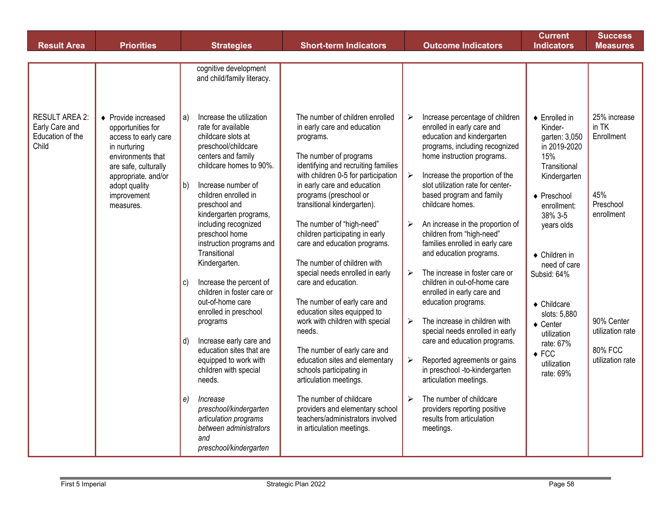| <b>Result Area</b>                                                   | <b>Priorities</b>                                                                                                                                                                                 | <b>Strategies</b>                                                                                                                                                                                                                                                                                                                                                                            | <b>Short-term Indicators</b>                                                                                                                                                                                                                                                                                                                                                                                              | <b>Outcome Indicators</b>                                                                                                                                                                                                                                                                                                                                                                                                                                                                                                   | <b>Current</b><br><b>Indicators</b>                                                                                                                                                                                    | <b>Success</b><br><b>Measures</b>                                     |
|----------------------------------------------------------------------|---------------------------------------------------------------------------------------------------------------------------------------------------------------------------------------------------|----------------------------------------------------------------------------------------------------------------------------------------------------------------------------------------------------------------------------------------------------------------------------------------------------------------------------------------------------------------------------------------------|---------------------------------------------------------------------------------------------------------------------------------------------------------------------------------------------------------------------------------------------------------------------------------------------------------------------------------------------------------------------------------------------------------------------------|-----------------------------------------------------------------------------------------------------------------------------------------------------------------------------------------------------------------------------------------------------------------------------------------------------------------------------------------------------------------------------------------------------------------------------------------------------------------------------------------------------------------------------|------------------------------------------------------------------------------------------------------------------------------------------------------------------------------------------------------------------------|-----------------------------------------------------------------------|
|                                                                      |                                                                                                                                                                                                   |                                                                                                                                                                                                                                                                                                                                                                                              |                                                                                                                                                                                                                                                                                                                                                                                                                           |                                                                                                                                                                                                                                                                                                                                                                                                                                                                                                                             |                                                                                                                                                                                                                        |                                                                       |
|                                                                      |                                                                                                                                                                                                   | cognitive development<br>and child/family literacy.                                                                                                                                                                                                                                                                                                                                          |                                                                                                                                                                                                                                                                                                                                                                                                                           |                                                                                                                                                                                                                                                                                                                                                                                                                                                                                                                             |                                                                                                                                                                                                                        |                                                                       |
| <b>RESULT AREA 2:</b><br>Early Care and<br>Education of the<br>Child | ♦ Provide increased<br>opportunities for<br>access to early care<br>in nurturing<br>environments that<br>are safe, culturally<br>appropriate. and/or<br>adopt quality<br>improvement<br>measures. | Increase the utilization<br>a)<br>rate for available<br>childcare slots at<br>preschool/childcare<br>centers and family<br>childcare homes to 90%.<br>$ b\rangle$<br>Increase number of<br>children enrolled in<br>preschool and<br>kindergarten programs,<br>including recognized<br>preschool home<br>instruction programs and<br>Transitional<br>Kindergarten.                            | The number of children enrolled<br>in early care and education<br>programs.<br>The number of programs<br>identifying and recruiting families<br>with children 0-5 for participation<br>in early care and education<br>programs (preschool or<br>transitional kindergarten).<br>The number of "high-need"<br>children participating in early<br>care and education programs.<br>The number of children with                | Increase percentage of children<br>➤<br>enrolled in early care and<br>education and kindergarten<br>programs, including recognized<br>home instruction programs.<br>$\blacktriangleright$<br>Increase the proportion of the<br>slot utilization rate for center-<br>based program and family<br>childcare homes.<br>An increase in the proportion of<br>$\blacktriangleright$<br>children from "high-need"<br>families enrolled in early care<br>and education programs.                                                    | $\triangle$ Enrolled in<br>Kinder-<br>garten: 3,050<br>in 2019-2020<br>15%<br>Transitional<br>Kindergarten<br>$\triangle$ Preschool<br>enrollment:<br>38% 3-5<br>years olds<br>$\triangle$ Children in<br>need of care | 25% increase<br>in TK<br>Enrollment<br>45%<br>Preschool<br>enrollment |
|                                                                      |                                                                                                                                                                                                   | Increase the percent of<br>C)<br>children in foster care or<br>out-of-home care<br>enrolled in preschool<br>programs<br>Increase early care and<br>d)<br>education sites that are<br>equipped to work with<br>children with special<br>needs.<br>$\vert e \rangle$<br>Increase<br>preschool/kindergarten<br>articulation programs<br>between administrators<br>and<br>preschool/kindergarten | special needs enrolled in early<br>care and education.<br>The number of early care and<br>education sites equipped to<br>work with children with special<br>needs.<br>The number of early care and<br>education sites and elementary<br>schools participating in<br>articulation meetings.<br>The number of childcare<br>providers and elementary school<br>teachers/administrators involved<br>in articulation meetings. | The increase in foster care or<br>$\blacktriangleright$<br>children in out-of-home care<br>enrolled in early care and<br>education programs.<br>The increase in children with<br>$\blacktriangleright$<br>special needs enrolled in early<br>care and education programs.<br>Reported agreements or gains<br>$\blacktriangleright$<br>in preschool -to-kindergarten<br>articulation meetings.<br>The number of childcare<br>$\blacktriangleright$<br>providers reporting positive<br>results from articulation<br>meetings. | Subsid: 64%<br>$\triangleleft$ Childcare<br>slots: 5,880<br>$\triangle$ Center<br>utilization<br>rate: 67%<br>$\triangle$ FCC<br>utilization<br>rate: 69%                                                              | 90% Center<br>utilization rate<br><b>80% FCC</b><br>utilization rate  |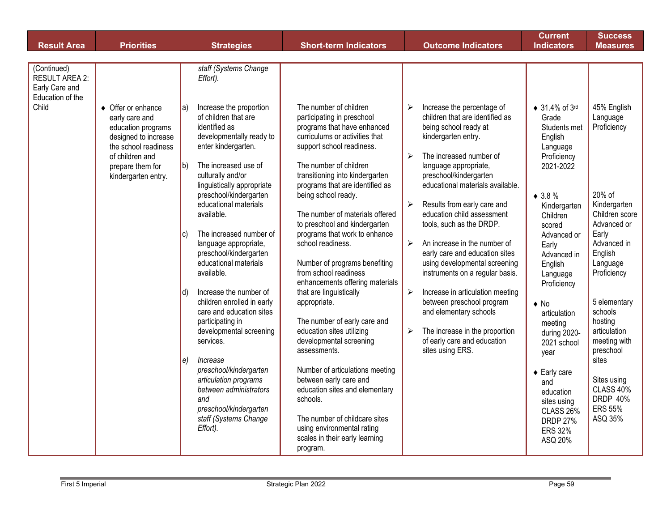|                                                                                                    |                                                                                                                                                                                               |                                                                                                                                                                                                                                                                                                                                                                                                                                                      |                                                                                                                                                                                                                                                                                                                                                                                                                                                                      |                                                                                                                                                                                                                                                                                                                                                                                                                                                                                                         | <b>Indicators</b>                                                                                                                                                                                                                                     |                                                                                                                                                                                                        |
|----------------------------------------------------------------------------------------------------|-----------------------------------------------------------------------------------------------------------------------------------------------------------------------------------------------|------------------------------------------------------------------------------------------------------------------------------------------------------------------------------------------------------------------------------------------------------------------------------------------------------------------------------------------------------------------------------------------------------------------------------------------------------|----------------------------------------------------------------------------------------------------------------------------------------------------------------------------------------------------------------------------------------------------------------------------------------------------------------------------------------------------------------------------------------------------------------------------------------------------------------------|---------------------------------------------------------------------------------------------------------------------------------------------------------------------------------------------------------------------------------------------------------------------------------------------------------------------------------------------------------------------------------------------------------------------------------------------------------------------------------------------------------|-------------------------------------------------------------------------------------------------------------------------------------------------------------------------------------------------------------------------------------------------------|--------------------------------------------------------------------------------------------------------------------------------------------------------------------------------------------------------|
|                                                                                                    |                                                                                                                                                                                               |                                                                                                                                                                                                                                                                                                                                                                                                                                                      |                                                                                                                                                                                                                                                                                                                                                                                                                                                                      |                                                                                                                                                                                                                                                                                                                                                                                                                                                                                                         |                                                                                                                                                                                                                                                       |                                                                                                                                                                                                        |
| <b>Result Area</b><br>(Continued)<br>RESULT AREA 2:<br>Early Care and<br>Education of the<br>Child | <b>Priorities</b><br>• Offer or enhance<br>early care and<br>education programs<br>designed to increase<br>the school readiness<br>of children and<br>prepare them for<br>kindergarten entry. | <b>Strategies</b><br>staff (Systems Change<br>Effort).<br>Increase the proportion<br>$ a\rangle$<br>of children that are<br>identified as<br>developmentally ready to<br>enter kindergarten.<br>The increased use of<br>$ b\rangle$<br>culturally and/or<br>linguistically appropriate<br>preschool/kindergarten<br>educational materials<br>available.<br>The increased number of<br>$ c\rangle$<br>language appropriate,<br>preschool/kindergarten | <b>Short-term Indicators</b><br>The number of children<br>participating in preschool<br>programs that have enhanced<br>curriculums or activities that<br>support school readiness.<br>The number of children<br>transitioning into kindergarten<br>programs that are identified as<br>being school ready.<br>The number of materials offered<br>to preschool and kindergarten<br>programs that work to enhance<br>school readiness.                                  | <b>Outcome Indicators</b><br>Increase the percentage of<br>➤<br>children that are identified as<br>being school ready at<br>kindergarten entry.<br>$\blacktriangleright$<br>The increased number of<br>language appropriate,<br>preschool/kindergarten<br>educational materials available.<br>Results from early care and<br>$\blacktriangleright$<br>education child assessment<br>tools, such as the DRDP.<br>$\blacktriangleright$<br>An increase in the number of<br>early care and education sites | <b>Current</b><br>$\bullet$ 31.4% of 3rd<br>Grade<br>Students met<br>English<br>Language<br>Proficiency<br>2021-2022<br>$* 3.8 \%$<br>Kindergarten<br>Children<br>scored<br>Advanced or<br>Early<br>Advanced in                                       | <b>Success</b><br><b>Measures</b><br>45% English<br>Language<br>Proficiency<br>20% of<br>Kindergarten<br>Children score<br>Advanced or<br>Early<br>Advanced in<br>English                              |
|                                                                                                    |                                                                                                                                                                                               | educational materials<br>available.<br>Increase the number of<br>d)<br>children enrolled in early<br>care and education sites<br>participating in<br>developmental screening<br>services.<br>Increase<br>$ e\rangle$<br>preschool/kindergarten<br>articulation programs<br>between administrators<br>and<br>preschool/kindergarten<br>staff (Systems Change<br>Effort).                                                                              | Number of programs benefiting<br>from school readiness<br>enhancements offering materials<br>that are linguistically<br>appropriate.<br>The number of early care and<br>education sites utilizing<br>developmental screening<br>assessments.<br>Number of articulations meeting<br>between early care and<br>education sites and elementary<br>schools.<br>The number of childcare sites<br>using environmental rating<br>scales in their early learning<br>program. | using developmental screening<br>instruments on a regular basis.<br>$\blacktriangleright$<br>Increase in articulation meeting<br>between preschool program<br>and elementary schools<br>The increase in the proportion<br>➤<br>of early care and education<br>sites using ERS.                                                                                                                                                                                                                          | English<br>Language<br>Proficiency<br>$\bullet$ No<br>articulation<br>meeting<br>during 2020-<br>2021 school<br>year<br>$\triangle$ Early care<br>and<br>education<br>sites using<br><b>CLASS 26%</b><br><b>DRDP 27%</b><br><b>ERS 32%</b><br>ASQ 20% | Language<br>Proficiency<br>5 elementary<br>schools<br>hosting<br>articulation<br>meeting with<br>preschool<br>sites<br>Sites using<br><b>CLASS 40%</b><br><b>DRDP 40%</b><br><b>ERS 55%</b><br>ASQ 35% |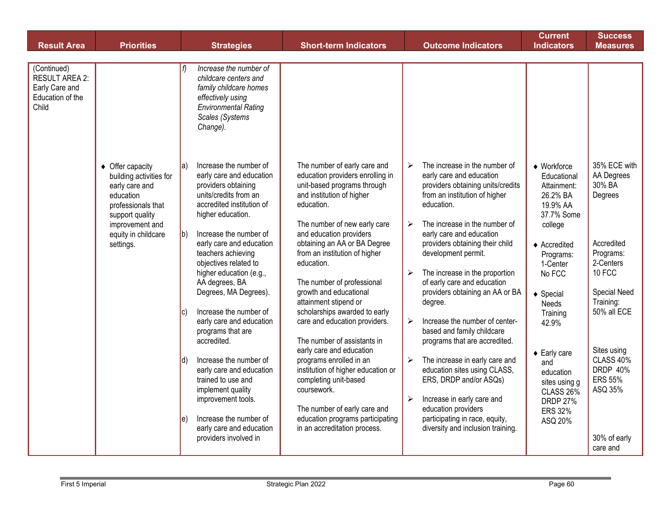| <b>Result Area</b>                                                           | <b>Priorities</b>                                                                                                                                                          |                    | <b>Strategies</b>                                                                                                                                                                                                                                         | <b>Short-term Indicators</b>                                                                                                                                                                                                                                                         |                                                | <b>Outcome Indicators</b>                                                                                                                                                                                                                                            | <b>Current</b><br><b>Indicators</b>                                                                                                                         | <b>Success</b><br><b>Measures</b>                                                       |
|------------------------------------------------------------------------------|----------------------------------------------------------------------------------------------------------------------------------------------------------------------------|--------------------|-----------------------------------------------------------------------------------------------------------------------------------------------------------------------------------------------------------------------------------------------------------|--------------------------------------------------------------------------------------------------------------------------------------------------------------------------------------------------------------------------------------------------------------------------------------|------------------------------------------------|----------------------------------------------------------------------------------------------------------------------------------------------------------------------------------------------------------------------------------------------------------------------|-------------------------------------------------------------------------------------------------------------------------------------------------------------|-----------------------------------------------------------------------------------------|
|                                                                              |                                                                                                                                                                            |                    |                                                                                                                                                                                                                                                           |                                                                                                                                                                                                                                                                                      |                                                |                                                                                                                                                                                                                                                                      |                                                                                                                                                             |                                                                                         |
| (Continued)<br>RESULT AREA 2:<br>Early Care and<br>Education of the<br>Child |                                                                                                                                                                            |                    | Increase the number of<br>childcare centers and<br>family childcare homes<br>effectively using<br><b>Environmental Rating</b><br>Scales (Systems<br>Change).                                                                                              |                                                                                                                                                                                                                                                                                      |                                                |                                                                                                                                                                                                                                                                      |                                                                                                                                                             |                                                                                         |
|                                                                              | ♦ Offer capacity<br>building activities for<br>early care and<br>education<br>professionals that<br>support quality<br>improvement and<br>equity in childcare<br>settings. | la)<br>$ b\rangle$ | Increase the number of<br>early care and education<br>providers obtaining<br>units/credits from an<br>accredited institution of<br>higher education.<br>Increase the number of<br>early care and education<br>teachers achieving<br>objectives related to | The number of early care and<br>education providers enrolling in<br>unit-based programs through<br>and institution of higher<br>education.<br>The number of new early care<br>and education providers<br>obtaining an AA or BA Degree<br>from an institution of higher<br>education. | $\blacktriangleright$<br>$\blacktriangleright$ | The increase in the number of<br>early care and education<br>providers obtaining units/credits<br>from an institution of higher<br>education.<br>The increase in the number of<br>early care and education<br>providers obtaining their child<br>development permit. | $\blacklozenge$ Workforce<br>Educational<br>Attainment:<br>26.2% BA<br>19.9% AA<br>37.7% Some<br>college<br>$\triangle$ Accredited<br>Programs:<br>1-Center | 35% ECE with<br>AA Degrees<br>30% BA<br>Degrees<br>Accredited<br>Programs:<br>2-Centers |
|                                                                              |                                                                                                                                                                            |                    | higher education (e.g.,<br>AA degrees, BA<br>Degrees, MA Degrees).                                                                                                                                                                                        | The number of professional<br>growth and educational<br>attainment stipend or                                                                                                                                                                                                        | $\blacktriangleright$                          | The increase in the proportion<br>of early care and education<br>providers obtaining an AA or BA<br>degree.                                                                                                                                                          | No FCC<br>$\triangleleft$ Special<br><b>Needs</b>                                                                                                           | 10 FCC<br>Special Need<br>Training:                                                     |
|                                                                              |                                                                                                                                                                            | lc'                | Increase the number of<br>early care and education<br>programs that are<br>accredited.                                                                                                                                                                    | scholarships awarded to early<br>care and education providers.<br>The number of assistants in<br>early care and education                                                                                                                                                            | $\blacktriangleright$                          | Increase the number of center-<br>based and family childcare<br>programs that are accredited.                                                                                                                                                                        | Training<br>42.9%                                                                                                                                           | 50% all ECE<br>Sites using                                                              |
|                                                                              |                                                                                                                                                                            | $ d\rangle$        | Increase the number of<br>early care and education<br>trained to use and<br>implement quality<br>improvement tools.                                                                                                                                       | programs enrolled in an<br>institution of higher education or<br>completing unit-based<br>coursework.<br>The number of early care and                                                                                                                                                | $\blacktriangleright$<br>$\blacktriangleright$ | The increase in early care and<br>education sites using CLASS,<br>ERS, DRDP and/or ASQs)<br>Increase in early care and<br>education providers                                                                                                                        | $\triangle$ Early care<br>and<br>education<br>sites using g<br><b>CLASS 26%</b><br><b>DRDP 27%</b><br><b>ERS 32%</b>                                        | CLASS 40%<br><b>DRDP 40%</b><br><b>ERS 55%</b><br>ASQ 35%                               |
|                                                                              |                                                                                                                                                                            | le)                | Increase the number of<br>early care and education<br>providers involved in                                                                                                                                                                               | education programs participating<br>in an accreditation process.                                                                                                                                                                                                                     |                                                | participating in race, equity,<br>diversity and inclusion training.                                                                                                                                                                                                  | ASQ 20%                                                                                                                                                     | 30% of early<br>care and                                                                |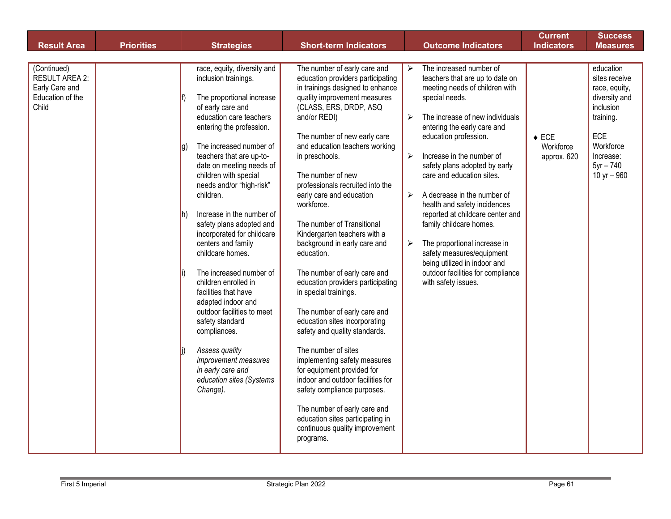| <b>Result Area</b>                                                           | <b>Priorities</b> | <b>Strategies</b>                                                                                                                                                                                                                                                                                                                                                                                                                                                                                                                                                                                                                                                                                                                         | <b>Short-term Indicators</b>                                                                                                                                                                                                                                                                                                                                                                                                                                                                                                                                                                                                                                                                                                                                                                                                                                                                                                                                   | <b>Outcome Indicators</b>                                                                                                                                                                                                                                                                                                                                                                                                                                                                                                                                                                                                                                                                                                | <b>Current</b><br><b>Indicators</b>         | <b>Success</b><br><b>Measures</b>                                                                                                                      |
|------------------------------------------------------------------------------|-------------------|-------------------------------------------------------------------------------------------------------------------------------------------------------------------------------------------------------------------------------------------------------------------------------------------------------------------------------------------------------------------------------------------------------------------------------------------------------------------------------------------------------------------------------------------------------------------------------------------------------------------------------------------------------------------------------------------------------------------------------------------|----------------------------------------------------------------------------------------------------------------------------------------------------------------------------------------------------------------------------------------------------------------------------------------------------------------------------------------------------------------------------------------------------------------------------------------------------------------------------------------------------------------------------------------------------------------------------------------------------------------------------------------------------------------------------------------------------------------------------------------------------------------------------------------------------------------------------------------------------------------------------------------------------------------------------------------------------------------|--------------------------------------------------------------------------------------------------------------------------------------------------------------------------------------------------------------------------------------------------------------------------------------------------------------------------------------------------------------------------------------------------------------------------------------------------------------------------------------------------------------------------------------------------------------------------------------------------------------------------------------------------------------------------------------------------------------------------|---------------------------------------------|--------------------------------------------------------------------------------------------------------------------------------------------------------|
|                                                                              |                   |                                                                                                                                                                                                                                                                                                                                                                                                                                                                                                                                                                                                                                                                                                                                           |                                                                                                                                                                                                                                                                                                                                                                                                                                                                                                                                                                                                                                                                                                                                                                                                                                                                                                                                                                |                                                                                                                                                                                                                                                                                                                                                                                                                                                                                                                                                                                                                                                                                                                          |                                             |                                                                                                                                                        |
| (Continued)<br>RESULT AREA 2:<br>Early Care and<br>Education of the<br>Child |                   | race, equity, diversity and<br>inclusion trainings.<br>The proportional increase<br>of early care and<br>education care teachers<br>entering the profession.<br>The increased number of<br>Ig)<br>teachers that are up-to-<br>date on meeting needs of<br>children with special<br>needs and/or "high-risk"<br>children.<br>Increase in the number of<br>Ih)<br>safety plans adopted and<br>incorporated for childcare<br>centers and family<br>childcare homes.<br>The increased number of<br>children enrolled in<br>facilities that have<br>adapted indoor and<br>outdoor facilities to meet<br>safety standard<br>compliances.<br>Assess quality<br>improvement measures<br>in early care and<br>education sites (Systems<br>Change). | The number of early care and<br>education providers participating<br>in trainings designed to enhance<br>quality improvement measures<br>(CLASS, ERS, DRDP, ASQ<br>and/or REDI)<br>The number of new early care<br>and education teachers working<br>in preschools.<br>The number of new<br>professionals recruited into the<br>early care and education<br>workforce.<br>The number of Transitional<br>Kindergarten teachers with a<br>background in early care and<br>education.<br>The number of early care and<br>education providers participating<br>in special trainings.<br>The number of early care and<br>education sites incorporating<br>safety and quality standards.<br>The number of sites<br>implementing safety measures<br>for equipment provided for<br>indoor and outdoor facilities for<br>safety compliance purposes.<br>The number of early care and<br>education sites participating in<br>continuous quality improvement<br>programs. | The increased number of<br>$\blacktriangleright$<br>teachers that are up to date on<br>meeting needs of children with<br>special needs.<br>The increase of new individuals<br>$\blacktriangleright$<br>entering the early care and<br>education profession.<br>Increase in the number of<br>$\blacktriangleright$<br>safety plans adopted by early<br>care and education sites.<br>A decrease in the number of<br>$\blacktriangleright$<br>health and safety incidences<br>reported at childcare center and<br>family childcare homes.<br>The proportional increase in<br>$\blacktriangleright$<br>safety measures/equipment<br>being utilized in indoor and<br>outdoor facilities for compliance<br>with safety issues. | $\triangle$ ECE<br>Workforce<br>approx. 620 | education<br>sites receive<br>race, equity,<br>diversity and<br>inclusion<br>training.<br>ECE<br>Workforce<br>Increase:<br>$5yr - 740$<br>10 yr $-960$ |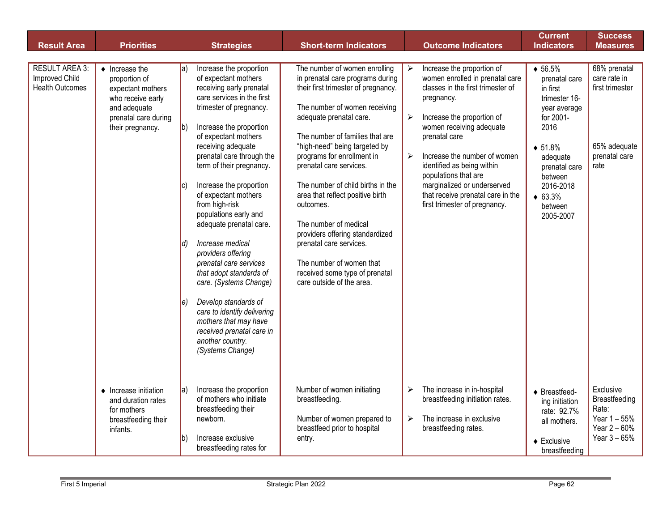|                                                                          |                                                                                                                                               |                                                                                                                                                                                                                                                                                                                                                                                                                                                                                                                                                                                                                                                                                                                                                |                                                                                                                                                                                                                                                                                                                                                                                                                                                                                                                                                                           |                                                                                                                                                                                                                                                                                                                                                                                                                                                                   | <b>Current</b>                                                                                                                                                                                                          | <b>Success</b>                                                                           |
|--------------------------------------------------------------------------|-----------------------------------------------------------------------------------------------------------------------------------------------|------------------------------------------------------------------------------------------------------------------------------------------------------------------------------------------------------------------------------------------------------------------------------------------------------------------------------------------------------------------------------------------------------------------------------------------------------------------------------------------------------------------------------------------------------------------------------------------------------------------------------------------------------------------------------------------------------------------------------------------------|---------------------------------------------------------------------------------------------------------------------------------------------------------------------------------------------------------------------------------------------------------------------------------------------------------------------------------------------------------------------------------------------------------------------------------------------------------------------------------------------------------------------------------------------------------------------------|-------------------------------------------------------------------------------------------------------------------------------------------------------------------------------------------------------------------------------------------------------------------------------------------------------------------------------------------------------------------------------------------------------------------------------------------------------------------|-------------------------------------------------------------------------------------------------------------------------------------------------------------------------------------------------------------------------|------------------------------------------------------------------------------------------|
| <b>Result Area</b>                                                       | <b>Priorities</b>                                                                                                                             | <b>Strategies</b>                                                                                                                                                                                                                                                                                                                                                                                                                                                                                                                                                                                                                                                                                                                              | <b>Short-term Indicators</b>                                                                                                                                                                                                                                                                                                                                                                                                                                                                                                                                              | <b>Outcome Indicators</b>                                                                                                                                                                                                                                                                                                                                                                                                                                         | <b>Indicators</b>                                                                                                                                                                                                       | <b>Measures</b>                                                                          |
|                                                                          |                                                                                                                                               |                                                                                                                                                                                                                                                                                                                                                                                                                                                                                                                                                                                                                                                                                                                                                |                                                                                                                                                                                                                                                                                                                                                                                                                                                                                                                                                                           |                                                                                                                                                                                                                                                                                                                                                                                                                                                                   |                                                                                                                                                                                                                         |                                                                                          |
| <b>RESULT AREA 3:</b><br><b>Improved Child</b><br><b>Health Outcomes</b> | $\bullet$ Increase the<br>proportion of<br>expectant mothers<br>who receive early<br>and adequate<br>prenatal care during<br>their pregnancy. | Increase the proportion<br>$ a\rangle$<br>of expectant mothers<br>receiving early prenatal<br>care services in the first<br>trimester of pregnancy.<br>Increase the proportion<br>$ b\rangle$<br>of expectant mothers<br>receiving adequate<br>prenatal care through the<br>term of their pregnancy.<br>Increase the proportion<br>IC)<br>of expectant mothers<br>from high-risk<br>populations early and<br>adequate prenatal care.<br>Increase medical<br>$ d\rangle$<br>providers offering<br>prenatal care services<br>that adopt standards of<br>care. (Systems Change)<br>Develop standards of<br>$\ket{e}$<br>care to identify delivering<br>mothers that may have<br>received prenatal care in<br>another country.<br>(Systems Change) | The number of women enrolling<br>in prenatal care programs during<br>their first trimester of pregnancy.<br>The number of women receiving<br>adequate prenatal care.<br>The number of families that are<br>"high-need" being targeted by<br>programs for enrollment in<br>prenatal care services.<br>The number of child births in the<br>area that reflect positive birth<br>outcomes.<br>The number of medical<br>providers offering standardized<br>prenatal care services.<br>The number of women that<br>received some type of prenatal<br>care outside of the area. | Increase the proportion of<br>$\blacktriangleright$<br>women enrolled in prenatal care<br>classes in the first trimester of<br>pregnancy.<br>$\blacktriangleright$<br>Increase the proportion of<br>women receiving adequate<br>prenatal care<br>Increase the number of women<br>$\blacktriangleright$<br>identified as being within<br>populations that are<br>marginalized or underserved<br>that receive prenatal care in the<br>first trimester of pregnancy. | $\bullet 56.5\%$<br>prenatal care<br>in first<br>trimester 16-<br>year average<br>for 2001-<br>2016<br>$\bullet 51.8\%$<br>adequate<br>prenatal care<br>between<br>2016-2018<br>$\bullet$ 63.3%<br>between<br>2005-2007 | 68% prenatal<br>care rate in<br>first trimester<br>65% adequate<br>prenatal care<br>rate |
|                                                                          | $\triangle$ Increase initiation<br>and duration rates<br>for mothers<br>breastfeeding their<br>infants.                                       | Increase the proportion<br>la)<br>of mothers who initiate<br>breastfeeding their<br>newborn.<br>Increase exclusive<br>lb)<br>breastfeeding rates for                                                                                                                                                                                                                                                                                                                                                                                                                                                                                                                                                                                           | Number of women initiating<br>breastfeeding.<br>Number of women prepared to<br>breastfeed prior to hospital<br>entry.                                                                                                                                                                                                                                                                                                                                                                                                                                                     | The increase in in-hospital<br>➤<br>breastfeeding initiation rates.<br>The increase in exclusive<br>$\blacktriangleright$<br>breastfeeding rates.                                                                                                                                                                                                                                                                                                                 | $\triangle$ Breastfeed-<br>ing initiation<br>rate: 92.7%<br>all mothers.<br>$\triangleleft$ Exclusive<br>breastfeeding                                                                                                  | Exclusive<br>Breastfeeding<br>Rate:<br>Year 1 - 55%<br>Year $2 - 60%$<br>Year $3 - 65%$  |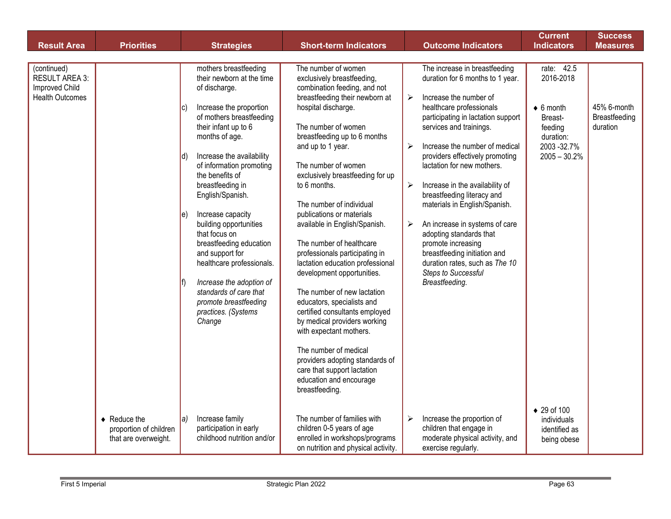| <b>Result Area</b>                                                               | <b>Priorities</b>                                                            | <b>Strategies</b>                                                                                                                                                                                                                                                                                                                                                                                                                                                                                                                                                                       | <b>Short-term Indicators</b>                                                                                                                                                                                                                                                                                                                                                                                                                                                                                                                                                                                                                                                                                                                                                                                                  | <b>Outcome Indicators</b>                                                                                                                                                                                                                                                                                                                                                                                                                                                                                                                                                                                              | <b>Current</b><br><b>Indicators</b>                                                                                            | <b>Success</b><br><b>Measures</b>        |
|----------------------------------------------------------------------------------|------------------------------------------------------------------------------|-----------------------------------------------------------------------------------------------------------------------------------------------------------------------------------------------------------------------------------------------------------------------------------------------------------------------------------------------------------------------------------------------------------------------------------------------------------------------------------------------------------------------------------------------------------------------------------------|-------------------------------------------------------------------------------------------------------------------------------------------------------------------------------------------------------------------------------------------------------------------------------------------------------------------------------------------------------------------------------------------------------------------------------------------------------------------------------------------------------------------------------------------------------------------------------------------------------------------------------------------------------------------------------------------------------------------------------------------------------------------------------------------------------------------------------|------------------------------------------------------------------------------------------------------------------------------------------------------------------------------------------------------------------------------------------------------------------------------------------------------------------------------------------------------------------------------------------------------------------------------------------------------------------------------------------------------------------------------------------------------------------------------------------------------------------------|--------------------------------------------------------------------------------------------------------------------------------|------------------------------------------|
|                                                                                  |                                                                              |                                                                                                                                                                                                                                                                                                                                                                                                                                                                                                                                                                                         |                                                                                                                                                                                                                                                                                                                                                                                                                                                                                                                                                                                                                                                                                                                                                                                                                               |                                                                                                                                                                                                                                                                                                                                                                                                                                                                                                                                                                                                                        |                                                                                                                                |                                          |
| (continued)<br><b>RESULT AREA 3:</b><br>Improved Child<br><b>Health Outcomes</b> |                                                                              | mothers breastfeeding<br>their newborn at the time<br>of discharge.<br>Increase the proportion<br>$ {\bf C} $<br>of mothers breastfeeding<br>their infant up to 6<br>months of age.<br>Increase the availability<br>Id)<br>of information promoting<br>the benefits of<br>breastfeeding in<br>English/Spanish.<br>Increase capacity<br>le)<br>building opportunities<br>that focus on<br>breastfeeding education<br>and support for<br>healthcare professionals.<br>Increase the adoption of<br>lf)<br>standards of care that<br>promote breastfeeding<br>practices. (Systems<br>Change | The number of women<br>exclusively breastfeeding,<br>combination feeding, and not<br>breastfeeding their newborn at<br>hospital discharge.<br>The number of women<br>breastfeeding up to 6 months<br>and up to 1 year.<br>The number of women<br>exclusively breastfeeding for up<br>to 6 months.<br>The number of individual<br>publications or materials<br>available in English/Spanish.<br>The number of healthcare<br>professionals participating in<br>lactation education professional<br>development opportunities.<br>The number of new lactation<br>educators, specialists and<br>certified consultants employed<br>by medical providers working<br>with expectant mothers.<br>The number of medical<br>providers adopting standards of<br>care that support lactation<br>education and encourage<br>breastfeeding. | The increase in breastfeeding<br>duration for 6 months to 1 year.<br>Increase the number of<br>➤<br>healthcare professionals<br>participating in lactation support<br>services and trainings.<br>Increase the number of medical<br>≻<br>providers effectively promoting<br>lactation for new mothers.<br>Increase in the availability of<br>➤<br>breastfeeding literacy and<br>materials in English/Spanish.<br>An increase in systems of care<br>≻<br>adopting standards that<br>promote increasing<br>breastfeeding initiation and<br>duration rates, such as The 10<br><b>Steps to Successful</b><br>Breastfeeding. | rate: 42.5<br>2016-2018<br>$\bullet$ 6 month<br>Breast-<br>feeding<br>duration:<br>2003-32.7%<br>$2005 - 30.2%$<br>◆ 29 of 100 | 45% 6-month<br>Breastfeeding<br>duration |
|                                                                                  | $\triangleleft$ Reduce the<br>proportion of children<br>that are overweight. | Increase family<br>la)<br>participation in early<br>childhood nutrition and/or                                                                                                                                                                                                                                                                                                                                                                                                                                                                                                          | The number of families with<br>children 0-5 years of age<br>enrolled in workshops/programs<br>on nutrition and physical activity.                                                                                                                                                                                                                                                                                                                                                                                                                                                                                                                                                                                                                                                                                             | Increase the proportion of<br>➤<br>children that engage in<br>moderate physical activity, and<br>exercise regularly.                                                                                                                                                                                                                                                                                                                                                                                                                                                                                                   | individuals<br>identified as<br>being obese                                                                                    |                                          |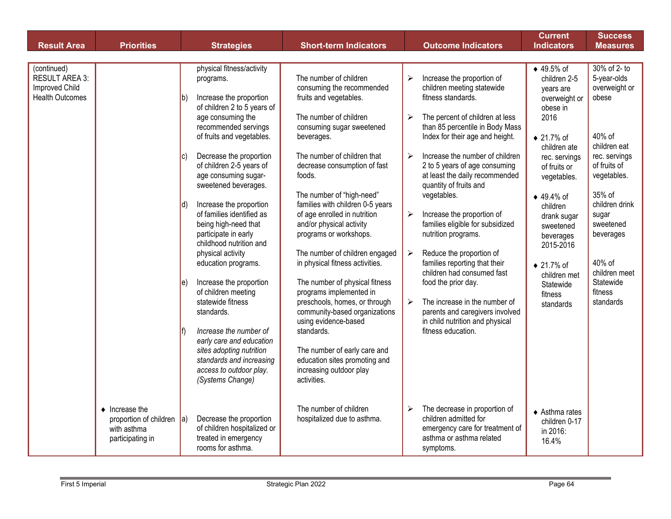| <b>Result Area</b>                                                               | <b>Priorities</b>                                                                               | <b>Strategies</b>                                                                                                                                                                 | <b>Short-term Indicators</b>                                                                                                                                                                     | <b>Outcome Indicators</b>                                                                                                                                                                                                            | <b>Current</b><br><b>Indicators</b>                                                        | <b>Success</b><br><b>Measures</b>                                      |
|----------------------------------------------------------------------------------|-------------------------------------------------------------------------------------------------|-----------------------------------------------------------------------------------------------------------------------------------------------------------------------------------|--------------------------------------------------------------------------------------------------------------------------------------------------------------------------------------------------|--------------------------------------------------------------------------------------------------------------------------------------------------------------------------------------------------------------------------------------|--------------------------------------------------------------------------------------------|------------------------------------------------------------------------|
|                                                                                  |                                                                                                 |                                                                                                                                                                                   |                                                                                                                                                                                                  |                                                                                                                                                                                                                                      |                                                                                            |                                                                        |
| (continued)<br><b>RESULT AREA 3:</b><br>Improved Child<br><b>Health Outcomes</b> |                                                                                                 | physical fitness/activity<br>programs.<br>Increase the proportion<br>lb'<br>of children 2 to 5 years of<br>age consuming the<br>recommended servings<br>of fruits and vegetables. | The number of children<br>consuming the recommended<br>fruits and vegetables.<br>The number of children<br>consuming sugar sweetened<br>beverages.                                               | Increase the proportion of<br>➤<br>children meeting statewide<br>fitness standards.<br>The percent of children at less<br>➤<br>than 85 percentile in Body Mass<br>Index for their age and height.                                    | ◆ 49.5% of<br>children 2-5<br>years are<br>overweight or<br>obese in<br>2016<br>◆ 21.7% of | 30% of 2- to<br>5-year-olds<br>overweight or<br>obese<br>40% of        |
|                                                                                  |                                                                                                 | Decrease the proportion<br>IC)<br>of children 2-5 years of<br>age consuming sugar-<br>sweetened beverages.                                                                        | The number of children that<br>decrease consumption of fast<br>foods.<br>The number of "high-need"                                                                                               | Increase the number of children<br>$\blacktriangleright$<br>2 to 5 years of age consuming<br>at least the daily recommended<br>quantity of fruits and<br>vegetables.                                                                 | children ate<br>rec. servings<br>of fruits or<br>vegetables.<br>◆ 49.4% of                 | children eat<br>rec. servings<br>of fruits of<br>vegetables.<br>35% of |
|                                                                                  |                                                                                                 | Increase the proportion<br>Id)<br>of families identified as<br>being high-need that<br>participate in early<br>childhood nutrition and                                            | families with children 0-5 years<br>of age enrolled in nutrition<br>and/or physical activity<br>programs or workshops.                                                                           | Increase the proportion of<br>$\blacktriangleright$<br>families eligible for subsidized<br>nutrition programs.                                                                                                                       | children<br>drank sugar<br>sweetened<br>beverages<br>2015-2016                             | children drink<br>sugar<br>sweetened<br>beverages                      |
|                                                                                  |                                                                                                 | physical activity<br>education programs.<br>Increase the proportion<br>le)<br>of children meeting<br>statewide fitness<br>standards.                                              | The number of children engaged<br>in physical fitness activities.<br>The number of physical fitness<br>programs implemented in<br>preschools, homes, or through<br>community-based organizations | $\blacktriangleright$<br>Reduce the proportion of<br>families reporting that their<br>children had consumed fast<br>food the prior day.<br>The increase in the number of<br>$\blacktriangleright$<br>parents and caregivers involved | ◆ 21.7% of<br>children met<br>Statewide<br>fitness<br>standards                            | 40% of<br>children meet<br>Statewide<br>fitness<br>standards           |
|                                                                                  |                                                                                                 | Increase the number of<br>early care and education<br>sites adopting nutrition<br>standards and increasing<br>access to outdoor play.<br>(Systems Change)                         | using evidence-based<br>standards.<br>The number of early care and<br>education sites promoting and<br>increasing outdoor play<br>activities.                                                    | in child nutrition and physical<br>fitness education.                                                                                                                                                                                |                                                                                            |                                                                        |
|                                                                                  | $\bullet$ Increase the<br>proportion of children $ a\rangle$<br>with asthma<br>participating in | Decrease the proportion<br>of children hospitalized or<br>treated in emergency<br>rooms for asthma.                                                                               | The number of children<br>hospitalized due to asthma.                                                                                                                                            | The decrease in proportion of<br>➤<br>children admitted for<br>emergency care for treatment of<br>asthma or asthma related<br>symptoms.                                                                                              | $\triangle$ Asthma rates<br>children 0-17<br>in 2016:<br>16.4%                             |                                                                        |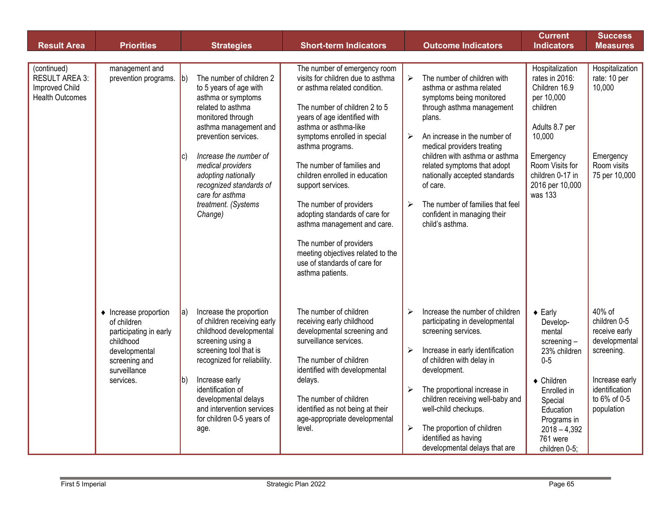| <b>Result Area</b>                                                               | <b>Priorities</b>                                                                                                                          | <b>Strategies</b>                                                                                                                                                                                                                                                                                                                       | <b>Short-term Indicators</b>                                                                                                                                                                                                                                                                                                                                                                                                                                                                                                                         | <b>Outcome Indicators</b>                                                                                                                                                                                                                                                                                                                                                                                                                           | <b>Current</b><br><b>Indicators</b>                                                                                                                                                                              | <b>Success</b><br><b>Measures</b>                                                                                                        |
|----------------------------------------------------------------------------------|--------------------------------------------------------------------------------------------------------------------------------------------|-----------------------------------------------------------------------------------------------------------------------------------------------------------------------------------------------------------------------------------------------------------------------------------------------------------------------------------------|------------------------------------------------------------------------------------------------------------------------------------------------------------------------------------------------------------------------------------------------------------------------------------------------------------------------------------------------------------------------------------------------------------------------------------------------------------------------------------------------------------------------------------------------------|-----------------------------------------------------------------------------------------------------------------------------------------------------------------------------------------------------------------------------------------------------------------------------------------------------------------------------------------------------------------------------------------------------------------------------------------------------|------------------------------------------------------------------------------------------------------------------------------------------------------------------------------------------------------------------|------------------------------------------------------------------------------------------------------------------------------------------|
|                                                                                  |                                                                                                                                            |                                                                                                                                                                                                                                                                                                                                         |                                                                                                                                                                                                                                                                                                                                                                                                                                                                                                                                                      |                                                                                                                                                                                                                                                                                                                                                                                                                                                     |                                                                                                                                                                                                                  |                                                                                                                                          |
| (continued)<br><b>RESULT AREA 3:</b><br>Improved Child<br><b>Health Outcomes</b> | management and<br>prevention programs.                                                                                                     | The number of children 2<br> b)<br>to 5 years of age with<br>asthma or symptoms<br>related to asthma<br>monitored through<br>asthma management and<br>prevention services.<br>Increase the number of<br>IC)<br>medical providers<br>adopting nationally<br>recognized standards of<br>care for asthma<br>treatment. (Systems<br>Change) | The number of emergency room<br>visits for children due to asthma<br>or asthma related condition.<br>The number of children 2 to 5<br>years of age identified with<br>asthma or asthma-like<br>symptoms enrolled in special<br>asthma programs.<br>The number of families and<br>children enrolled in education<br>support services.<br>The number of providers<br>adopting standards of care for<br>asthma management and care.<br>The number of providers<br>meeting objectives related to the<br>use of standards of care for<br>asthma patients. | The number of children with<br>$\blacktriangleright$<br>asthma or asthma related<br>symptoms being monitored<br>through asthma management<br>plans.<br>An increase in the number of<br>$\blacktriangleright$<br>medical providers treating<br>children with asthma or asthma<br>related symptoms that adopt<br>nationally accepted standards<br>of care.<br>The number of families that feel<br>➤<br>confident in managing their<br>child's asthma. | Hospitalization<br>rates in 2016:<br>Children 16.9<br>per 10,000<br>children<br>Adults 8.7 per<br>10,000<br>Emergency<br>Room Visits for<br>children 0-17 in<br>2016 per 10,000<br>was 133                       | Hospitalization<br>rate: 10 per<br>10,000<br>Emergency<br>Room visits<br>75 per 10,000                                                   |
|                                                                                  | • Increase proportion<br>of children<br>participating in early<br>childhood<br>developmental<br>screening and<br>surveillance<br>services. | Increase the proportion<br>$ a\rangle$<br>of children receiving early<br>childhood developmental<br>screening using a<br>screening tool that is<br>recognized for reliability.<br>Increase early<br>$ b\rangle$<br>identification of<br>developmental delays<br>and intervention services<br>for children 0-5 years of<br>age.          | The number of children<br>receiving early childhood<br>developmental screening and<br>surveillance services.<br>The number of children<br>identified with developmental<br>delays.<br>The number of children<br>identified as not being at their<br>age-appropriate developmental<br>level.                                                                                                                                                                                                                                                          | Increase the number of children<br>➤<br>participating in developmental<br>screening services.<br>Increase in early identification<br>$\blacktriangleright$<br>of children with delay in<br>development.<br>The proportional increase in<br>➤<br>children receiving well-baby and<br>well-child checkups.<br>The proportion of children<br>➤<br>identified as having<br>developmental delays that are                                                | $\triangle$ Early<br>Develop-<br>mental<br>screening -<br>23% children<br>$0-5$<br>$\triangleleft$ Children<br>Enrolled in<br>Special<br>Education<br>Programs in<br>$2018 - 4,392$<br>761 were<br>children 0-5; | 40% of<br>children 0-5<br>receive early<br>developmental<br>screening.<br>Increase early<br>identification<br>to 6% of 0-5<br>population |